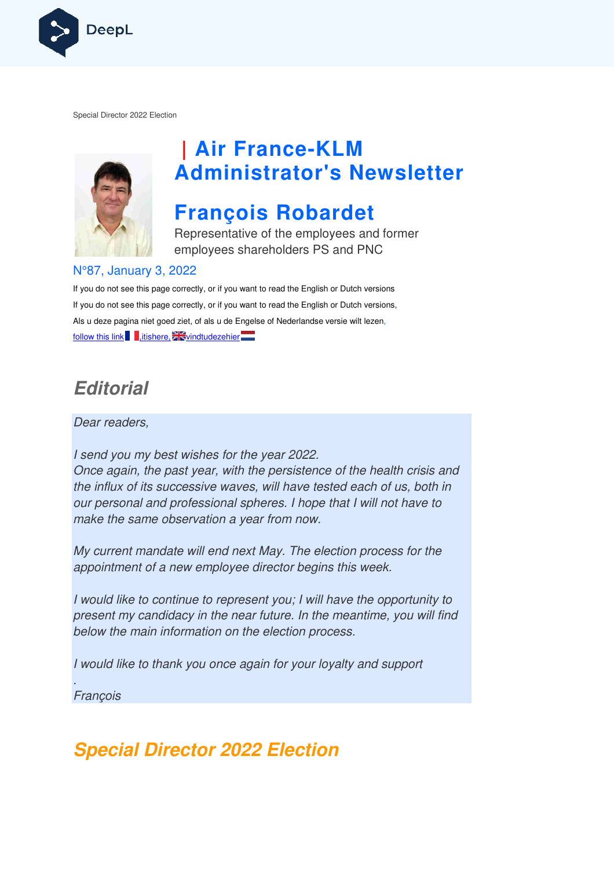

Special Director 2022 Election



# **| Air France France-KLM Administrator's Newsletter**

## **François Robardet**

Representative of the employees and former employees shareholders PS and PNC

#### N°87, January 3, 2022

If you do not see this page correctly, or if you want to read the English or Dutch versions If you do not see this page correctly, or if you want to read the English or Dutch versions, If you do not see this page correctly, or if you want to read the English or Dutch versior<br>Als u deze pagina niet goed ziet, of als u de Engelse of Nederlandse versie wilt lezen, follow this link , itishere,  $\frac{1}{2}$  vindtudezehier

### **Editorial**

Dear readers,

I send you my best wishes for the year 2022. Once again, the past year, with the persistence of the health crisis and the influx of its successive waves, will have tested each of us, both in our personal and professional spheres. I hope that I will not have to make the same observation a year from now.

My current mandate will end next May. The election process for the appointment of a new employee director begins this week. t I will not have to<br>on process for the<br>iis week.<br>re the opportunity

I would like to continue to represent you; I will have the opportunity to present my candidacy in the near future. In the meantime, you will find below the main information on the election process.

I would like to thank you once again for your loyalty and support

. **Francois** 

### **Special Director 2022 Election**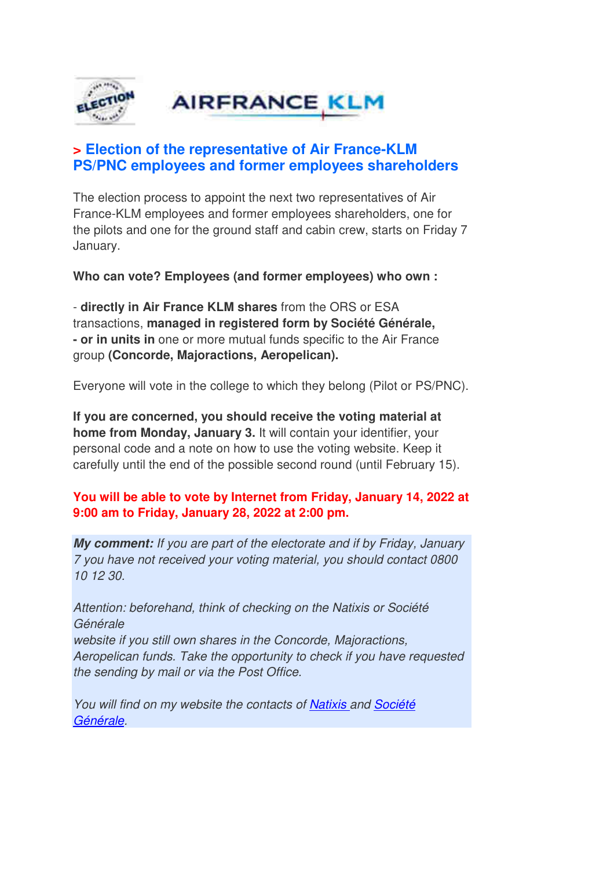

### **> Election of the representative of Air France-KLM PS/PNC employees and former employees shareholders**

The election process to appoint the next two representatives of Air France-KLM employees and former employees shareholders, one for the pilots and one for the ground staff and cabin crew, starts on Friday 7 January.

**Who can vote? Employees (and former employees) who own :**

- **directly in Air France KLM shares** from the ORS or ESA transactions, **managed in registered form by Société Générale, - or in units in** one or more mutual funds specific to the Air France group **(Concorde, Majoractions, Aeropelican).** 

Everyone will vote in the college to which they belong (Pilot or PS/PNC).

**If you are concerned, you should receive the voting material at home from Monday, January 3.** It will contain your identifier, your personal code and a note on how to use the voting website. Keep it carefully until the end of the possible second round (until February 15).

#### **You will be able to vote by Internet from Friday, January 14, 2022 at 9:00 am to Friday, January 28, 2022 at 2:00 pm.**

**My comment:** If you are part of the electorate and if by Friday, January 7 you have not received your voting material, you should contact 0800 10 12 30.

Attention: beforehand, think of checking on the Natixis or Société Générale website if you still own shares in the Concorde, Majoractions, Aeropelican funds. Take the opportunity to check if you have requested the sending by mail or via the Post Office.

You will find on my website the contacts of Natixis and Société Générale.